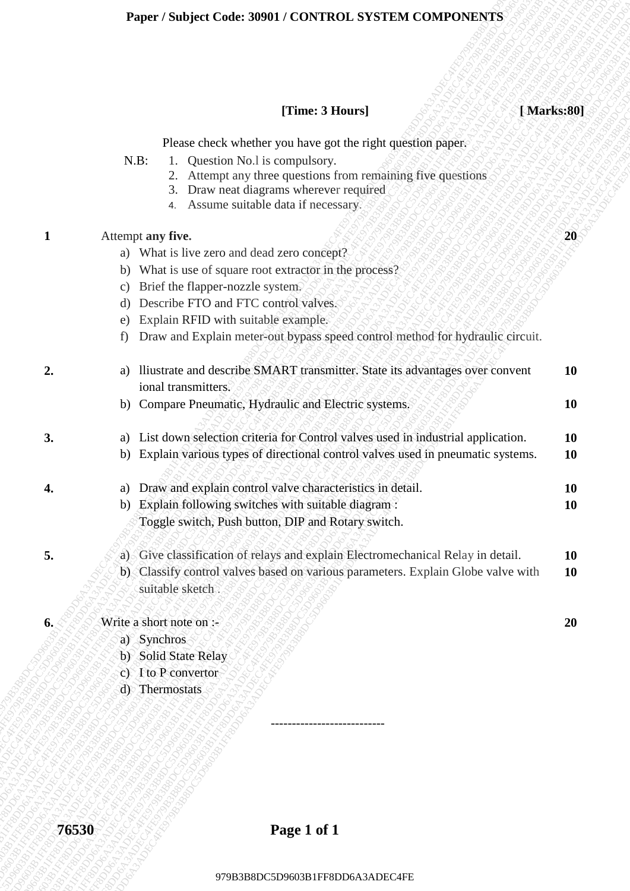# **Paper / Subject Code: 30901 / CONTROL SYSTEM COMPONENTS**

# **[Time: 3 Hours] [ Marks:80]**

| Please check whether you have got the right question paper.<br>Question No.1 is compulsory.<br>$N.B$ :<br>Attempt any three questions from remaining five questions<br>2.<br>Draw neat diagrams wherever required<br>3.<br>Assume suitable data if necessary.<br>4.<br>Attempt any five.<br>$\mathbf{1}$<br>20<br>a) What is live zero and dead zero concept?<br>What is use of square root extractor in the process?<br>b)<br>Brief the flapper-nozzle system.<br>$\mathcal{C}$ )<br>Describe FTO and FTC control valves.<br>d)<br>Explain RFID with suitable example.<br>e)<br>Draw and Explain meter-out bypass speed control method for hydraulic circuit.<br>f)<br>a) lliustrate and describe SMART transmitter. State its advantages over convent<br>10<br>ി<br>ional transmitters.<br>b) Compare Pneumatic, Hydraulic and Electric systems.<br><b>10</b><br>3.<br>a) List down selection criteria for Control valves used in industrial application.<br><b>10</b><br>b) Explain various types of directional control valves used in pneumatic systems.<br><b>10</b><br>a) Draw and explain control valve characteristics in detail.<br><b>10</b><br>4.<br>Explain following switches with suitable diagram :<br><b>10</b><br>b)<br>Toggle switch, Push button, DIP and Rotary switch.<br>5.<br>a) Give classification of relays and explain Electromechanical Relay in detail.<br><b>10</b><br>b) Classify control valves based on various parameters. Explain Globe valve with<br><b>10</b><br>suitable sketch.<br>Write a short note on :-<br>6.<br><b>20</b><br>a) Synchros<br>b) Solid State Relay<br>c) I to P convertor<br>d) Thermostats |  | [Time: 3 Hours] | [Marks:80] |
|--------------------------------------------------------------------------------------------------------------------------------------------------------------------------------------------------------------------------------------------------------------------------------------------------------------------------------------------------------------------------------------------------------------------------------------------------------------------------------------------------------------------------------------------------------------------------------------------------------------------------------------------------------------------------------------------------------------------------------------------------------------------------------------------------------------------------------------------------------------------------------------------------------------------------------------------------------------------------------------------------------------------------------------------------------------------------------------------------------------------------------------------------------------------------------------------------------------------------------------------------------------------------------------------------------------------------------------------------------------------------------------------------------------------------------------------------------------------------------------------------------------------------------------------------------------------------------------------------------------------------------------------------------|--|-----------------|------------|
|                                                                                                                                                                                                                                                                                                                                                                                                                                                                                                                                                                                                                                                                                                                                                                                                                                                                                                                                                                                                                                                                                                                                                                                                                                                                                                                                                                                                                                                                                                                                                                                                                                                        |  |                 |            |
|                                                                                                                                                                                                                                                                                                                                                                                                                                                                                                                                                                                                                                                                                                                                                                                                                                                                                                                                                                                                                                                                                                                                                                                                                                                                                                                                                                                                                                                                                                                                                                                                                                                        |  |                 |            |
|                                                                                                                                                                                                                                                                                                                                                                                                                                                                                                                                                                                                                                                                                                                                                                                                                                                                                                                                                                                                                                                                                                                                                                                                                                                                                                                                                                                                                                                                                                                                                                                                                                                        |  |                 |            |
|                                                                                                                                                                                                                                                                                                                                                                                                                                                                                                                                                                                                                                                                                                                                                                                                                                                                                                                                                                                                                                                                                                                                                                                                                                                                                                                                                                                                                                                                                                                                                                                                                                                        |  |                 |            |
|                                                                                                                                                                                                                                                                                                                                                                                                                                                                                                                                                                                                                                                                                                                                                                                                                                                                                                                                                                                                                                                                                                                                                                                                                                                                                                                                                                                                                                                                                                                                                                                                                                                        |  |                 |            |
|                                                                                                                                                                                                                                                                                                                                                                                                                                                                                                                                                                                                                                                                                                                                                                                                                                                                                                                                                                                                                                                                                                                                                                                                                                                                                                                                                                                                                                                                                                                                                                                                                                                        |  |                 |            |
|                                                                                                                                                                                                                                                                                                                                                                                                                                                                                                                                                                                                                                                                                                                                                                                                                                                                                                                                                                                                                                                                                                                                                                                                                                                                                                                                                                                                                                                                                                                                                                                                                                                        |  |                 |            |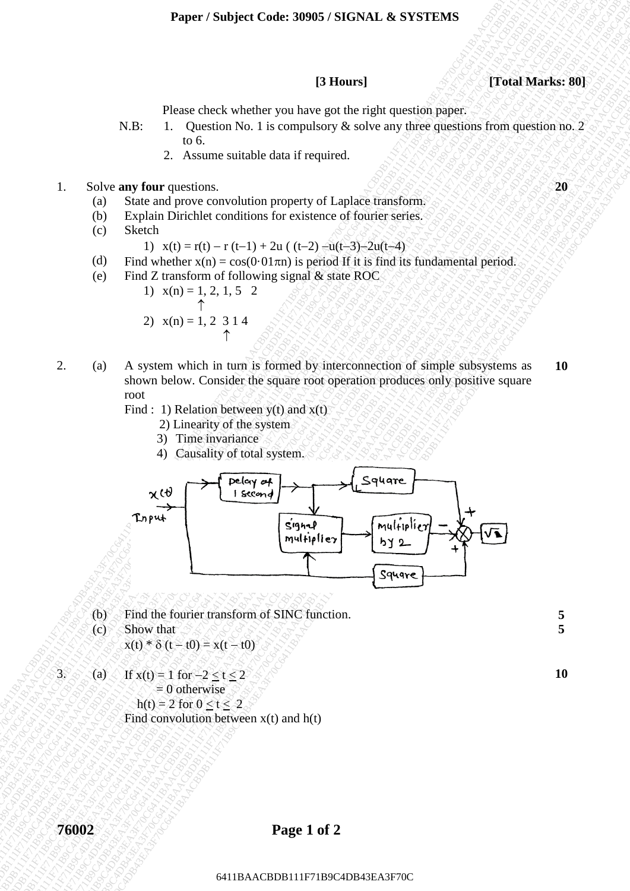### **Paper / Subject Code: 30905 / SIGNAL & SYSTEMS**

**[3 Hours] [Total Marks: 80]**

Please check whether you have got the right question paper.

- N.B: 1. Question No. 1 is compulsory  $\&$  solve any three questions from question no. 2 to 6.
	- 2. Assume suitable data if required.

## **1.** Solve any four questions.  $Q \otimes Q \otimes Q \otimes Q \otimes Q \otimes Q \otimes Q$

- (a) State and prove convolution property of Laplace transform.
- (b) Explain Dirichlet conditions for existence of fourier series.
- (c) Sketch

1)  $x(t) = r(t) - r(t-1) + 2u$  (  $(t-2) - u(t-3) - 2u(t-4)$ 

- (d) Find whether  $x(n) = cos(0.01 \pi n)$  is period If it is find its fundamental period.
- (e) Find Z transform of following signal & state ROC
	- 1)  $x(n) = 1, 2, 1, 5, 2$ ↑ 2)  $x(n) = 1, 2, 3, 1, 4$

 $\uparrow$ 

2. (a) A system which in turn is formed by interconnection of simple subsystems as shown below. Consider the square root operation produces only positive square root

Find : 1) Relation between  $y(t)$  and  $x(t)$ 

- 2) Linearity of the system
- 3) Time invariance
- 4) Causality of total system.



- (b) Find the fourier transform of SINC function. **5**
- (c) Show that

$$
x(t) * \delta (t - t0) = x(t - t0)
$$

3. (a) If  $x(t) = 1$  for  $-2 < t < 2$  $= 0$  otherwise  $h(t) = 2$  for  $0 < t < 2$ Find convolution between x(t) and h(t) **10**

**5**

**10**